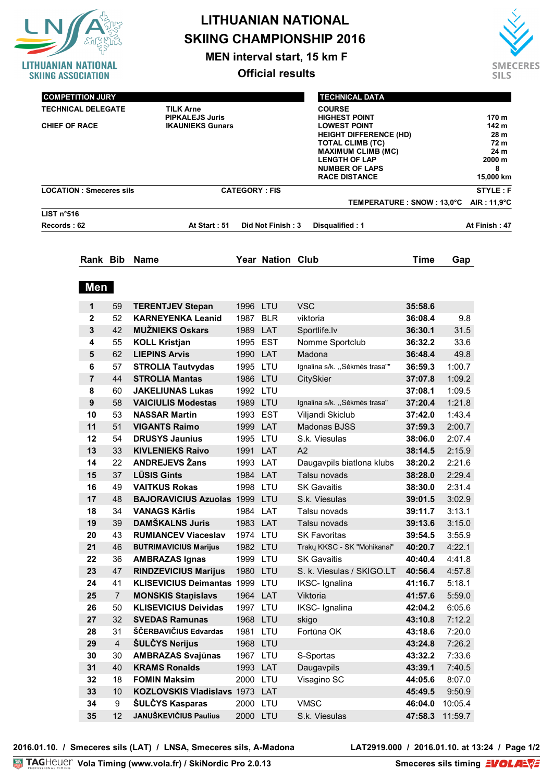

**MEN interval start, 15 km F**

**Official results**



| <b>COMPETITION JURY</b>                                                    |                                                                       |                      | <b>TECHNICAL DATA</b>                                                                                                                                                                                                          |                                                                                                    |
|----------------------------------------------------------------------------|-----------------------------------------------------------------------|----------------------|--------------------------------------------------------------------------------------------------------------------------------------------------------------------------------------------------------------------------------|----------------------------------------------------------------------------------------------------|
| <b>TECHNICAL DELEGATE</b><br><b>T.D. ASSISTANT</b><br><b>CHIEF OF RACE</b> | <b>TILK Arne</b><br><b>PIPKALEJS Juris</b><br><b>IKAUNIEKS Gunars</b> |                      | <b>COURSE</b><br><b>HIGHEST POINT</b><br><b>LOWEST POINT</b><br><b>HEIGHT DIFFERENCE (HD)</b><br><b>TOTAL CLIMB (TC)</b><br><b>MAXIMUM CLIMB (MC)</b><br><b>LENGTH OF LAP</b><br><b>NUMBER OF LAPS</b><br><b>RACE DISTANCE</b> | 170 m<br>142 m<br>28 m<br>72 <sub>m</sub><br>24 <sub>m</sub><br>$2000 \text{ m}$<br>8<br>15,000 km |
| <b>LOCATION: Smeceres sils</b>                                             |                                                                       | <b>CATEGORY: FIS</b> |                                                                                                                                                                                                                                | STYLE: F                                                                                           |
|                                                                            |                                                                       |                      | TEMPERATURE : SNOW : 13,0°C                                                                                                                                                                                                    | AIR: 11,9°C                                                                                        |
| LIST n°516                                                                 |                                                                       |                      |                                                                                                                                                                                                                                |                                                                                                    |
| Records: 62                                                                | At Start: 51                                                          | Did Not Finish: 3    | Disqualified: 1                                                                                                                                                                                                                | At Finish: 47                                                                                      |

|  | Rank Bib Name | Year Nation Club | Time Gap |  |
|--|---------------|------------------|----------|--|
|  |               |                  |          |  |

 **Men** 

| $\mathbf{1}$     | 59             | <b>TERENTJEV Stepan</b>          | 1996 LTU |            | <b>VSC</b>                    | 35:58.6 |         |
|------------------|----------------|----------------------------------|----------|------------|-------------------------------|---------|---------|
| $\mathbf{2}$     | 52             | <b>KARNEYENKA Leanid</b>         | 1987     | <b>BLR</b> | viktoria                      | 36:08.4 | 9.8     |
| 3                | 42             | <b>MUZNIEKS Oskars</b>           | 1989     | LAT        | Sportlife.lv                  | 36:30.1 | 31.5    |
| 4                | 55             | <b>KOLL Kristjan</b>             | 1995     | <b>EST</b> | Nomme Sportclub               | 36:32.2 | 33.6    |
| 5                | 62             | <b>LIEPINS Arvis</b>             | 1990     | LAT        | Madona                        | 36:48.4 | 49.8    |
| 6                | 57             | <b>STROLIA Tautvydas</b>         | 1995 LTU |            | Ignalina s/k. "Sėkmės trasa"" | 36:59.3 | 1:00.7  |
| $\overline{7}$   | 44             | <b>STROLIA Mantas</b>            | 1986 LTU |            | <b>CitySkier</b>              | 37:07.8 | 1:09.2  |
| 8                | 60             | <b>JAKELIUNAS Lukas</b>          | 1992     | LTU        |                               | 37:08.1 | 1:09.5  |
| $\boldsymbol{9}$ | 58             | <b>VAICIULIS Modestas</b>        | 1989     | LTU        | Ignalina s/k. "Sėkmės trasa"  | 37:20.4 | 1:21.8  |
| 10               | 53             | <b>NASSAR Martin</b>             | 1993     | <b>EST</b> | Viljandi Skiclub              | 37:42.0 | 1:43.4  |
| 11               | 51             | <b>VIGANTS Raimo</b>             | 1999     | LAT        | Madonas BJSS                  | 37:59.3 | 2:00.7  |
| 12               | 54             | <b>DRUSYS Jaunius</b>            | 1995 LTU |            | S.k. Viesulas                 | 38:06.0 | 2:07.4  |
| 13               | 33             | <b>KIVLENIEKS Raivo</b>          | 1991     | LAT        | A2                            | 38:14.5 | 2:15.9  |
| 14               | 22             | <b>ANDREJEVS Žans</b>            | 1993 LAT |            | Daugavpils biatlona klubs     | 38:20.2 | 2:21.6  |
| 15               | 37             | <b>LŪSIS Gints</b>               | 1984 LAT |            | Talsu novads                  | 38:28.0 | 2:29.4  |
| 16               | 49             | <b>VAITKUS Rokas</b>             | 1998 LTU |            | <b>SK Gavaitis</b>            | 38:30.0 | 2:31.4  |
| 17               | 48             | <b>BAJORAVICIUS Azuolas 1999</b> |          | LTU        | S.k. Viesulas                 | 39:01.5 | 3:02.9  |
| 18               | 34             | <b>VANAGS Kārlis</b>             | 1984     | LAT        | Talsu novads                  | 39:11.7 | 3:13.1  |
| 19               | 39             | <b>DAMŠKALNS Juris</b>           | 1983 LAT |            | Talsu novads                  | 39:13.6 | 3:15.0  |
| 20               | 43             | <b>RUMIANCEV Viaceslav</b>       | 1974 LTU |            | <b>SK Favoritas</b>           | 39:54.5 | 3:55.9  |
| 21               | 46             | <b>BUTRIMAVICIUS Marijus</b>     | 1982 LTU |            | Trakų KKSC - SK "Mohikanai"   | 40:20.7 | 4:22.1  |
| 22               | 36             | <b>AMBRAZAS Ignas</b>            | 1999     | LTU        | <b>SK Gavaitis</b>            | 40:40.4 | 4:41.8  |
| 23               | 47             | <b>RINDZEVICIUS Marijus</b>      | 1980     | LTU        | S. k. Viesulas / SKIGO.LT     | 40:56.4 | 4:57.8  |
| 24               | 41             | <b>KLISEVICIUS Deimantas</b>     | 1999     | LTU        | IKSC- Ignalina                | 41:16.7 | 5:18.1  |
| 25               | $\overline{7}$ | <b>MONSKIS Stanislavs</b>        | 1964 LAT |            | Viktoria                      | 41:57.6 | 5:59.0  |
| 26               | 50             | <b>KLISEVICIUS Deividas</b>      | 1997     | LTU        | IKSC- Ignalina                | 42:04.2 | 6:05.6  |
| 27               | 32             | <b>SVEDAS Ramunas</b>            | 1968     | LTU        | skigo                         | 43:10.8 | 7:12.2  |
| 28               | 31             | ŠČERBAVIČIUS Edvardas            | 1981     | LTU        | Fortūna OK                    | 43:18.6 | 7:20.0  |
| 29               | $\overline{4}$ | <b>ŠULČYS Nerijus</b>            | 1968 LTU |            |                               | 43:24.8 | 7:26.2  |
| 30               | 30             | <b>AMBRAZAS Svajūnas</b>         | 1967 LTU |            | S-Sportas                     | 43:32.2 | 7:33.6  |
| 31               | 40             | <b>KRAMS Ronalds</b>             | 1993     | LAT        | Daugavpils                    | 43:39.1 | 7:40.5  |
| 32               | 18             | <b>FOMIN Maksim</b>              | 2000     | LTU        | Visagino SC                   | 44:05.6 | 8:07.0  |
| 33               | 10             | KOZLOVSKIS Vladislavs 1973 LAT   |          |            |                               | 45:49.5 | 9:50.9  |
| 34               | 9              | ŠULČYS Kasparas                  | 2000     | LTU        | <b>VMSC</b>                   | 46:04.0 | 10:05.4 |
| 35               | 12             | <b>JANUŠKEVIČIUS Paulius</b>     | 2000 LTU |            | S.k. Viesulas                 | 47:58.3 | 11:59.7 |

2016.01.10. / Smeceres sils (LAT) / LNSA, Smeceres sils, A-Madona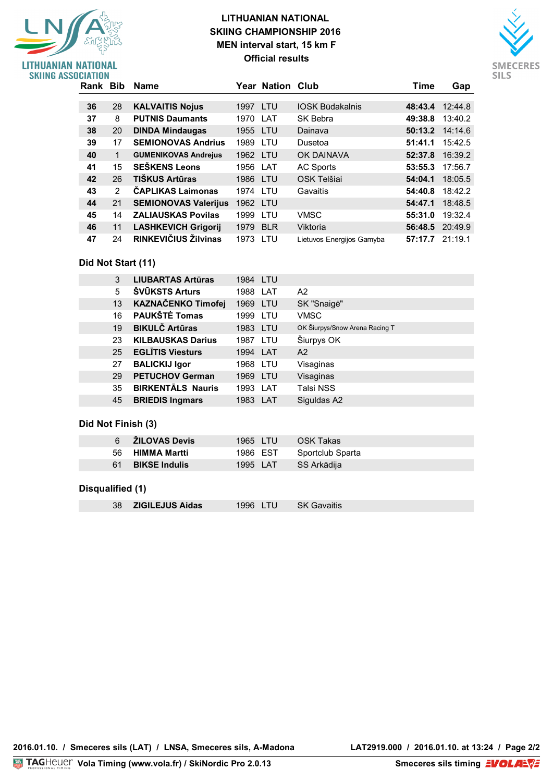### **LITHUANIAN NATIONAL SKIING CHAMPIONSHIP 2016 MEN interval start, 15 km F Official results**



| <b>SKIING ASSOCIATION</b> |          |               |                             |          |                  |                           |                 |                 |
|---------------------------|----------|---------------|-----------------------------|----------|------------------|---------------------------|-----------------|-----------------|
|                           | Rank Bib |               | Name                        |          | Year Nation Club |                           | Time            | Gap             |
|                           |          |               |                             |          |                  |                           |                 |                 |
|                           | 36       | 28            | <b>KALVAITIS Nojus</b>      | 1997 LTU |                  | <b>IOSK Būdakalnis</b>    |                 | 48:43.4 12:44.8 |
|                           | 37       | 8             | <b>PUTNIS Daumants</b>      | 1970     | LAT              | SK Bebra                  | 49:38.8         | 13:40.2         |
|                           | 38       | 20            | <b>DINDA Mindaugas</b>      | 1955 LTU |                  | Dainava                   |                 | 50:13.2 14:14.6 |
|                           | 39       | 17            | <b>SEMIONOVAS Andrius</b>   | 1989     | LTU              | Dusetoa                   | 51:41.1         | 15:42.5         |
|                           | 40       | 1             | <b>GUMENIKOVAS Andrejus</b> | 1962 LTU |                  | <b>OK DAINAVA</b>         |                 | 52:37.8 16:39.2 |
|                           | 41       | 15            | <b>SEŠKENS Leons</b>        | 1956 LAT |                  | AC Sports                 | 53:55.3         | 17:56.7         |
|                           | 42       | 26            | TIŠKUS Artūras              | 1986 LTU |                  | OSK Telšiai               | 54:04.1         | 18:05.5         |
|                           | 43       | $\mathcal{P}$ | <b>ČAPLIKAS Laimonas</b>    | 1974 LTU |                  | Gavaitis                  | 54:40.8         | 18:42.2         |
|                           | 44       | 21            | <b>SEMIONOVAS Valerijus</b> | 1962 LTU |                  |                           | 54:47.1         | 18:48.5         |
|                           | 45       | 14            | <b>ZALIAUSKAS Povilas</b>   | 1999     | <b>LTU</b>       | <b>VMSC</b>               | 55:31.0         | 19:32.4         |
|                           | 46       | 11            | <b>LASHKEVICH Grigorij</b>  | 1979 BLR |                  | Viktoria                  |                 | 56:48.5 20:49.9 |
|                           | 47       | 24            | RINKEVIČIUS Žilvinas        | 1973 LTU |                  | Lietuvos Energijos Gamyba | 57:17.7 21:19.1 |                 |

### **Did Not Start (11)**

LITHUANIAN NATIONAL

| 3  | <b>LIUBARTAS Artūras</b> | 1984 LTU |            |                                |
|----|--------------------------|----------|------------|--------------------------------|
| 5  | <b>SVUKSTS Arturs</b>    | 1988 LAT |            | A2                             |
| 13 | KAZNAČENKO Timofej       | 1969     | LTU        | SK "Snaigė"                    |
| 16 | <b>PAUKŠTĖ Tomas</b>     | 1999     | LTU        | <b>VMSC</b>                    |
| 19 | <b>BIKULČ Artūras</b>    | 1983     | LTU        | OK Šiurpys/Snow Arena Racing T |
| 23 | <b>KILBAUSKAS Darius</b> | 1987     | LTU        | Šiurpys OK                     |
| 25 | <b>EGLĪTIS Viesturs</b>  | 1994     | <b>LAT</b> | A2                             |
| 27 | <b>BALICKIJ Igor</b>     | 1968 LTU |            | Visaginas                      |
| 29 | <b>PETUCHOV German</b>   | 1969     | LTU        | Visaginas                      |
| 35 | <b>BIRKENTALS Nauris</b> | 1993     | LAT        | <b>Talsi NSS</b>               |
| 45 | <b>BRIEDIS Ingmars</b>   | 1983     | LAT        | Siguldas A2                    |

### **Did Not Finish (3)**

| 6 <b>ZILOVAS Devis</b> | 1965 LTU | OSK Takas        |
|------------------------|----------|------------------|
| 56 HIMMA Martti        | 1986 EST | Sportclub Sparta |
| 61 BIKSE Indulis       | 1995 LAT | SS Arkādija      |
|                        |          |                  |

### **Disqualified (1)**

| 38 <b>ZIGILEJUS Aidas</b> | 1996 LTU | <b>SK Gavaitis</b> |
|---------------------------|----------|--------------------|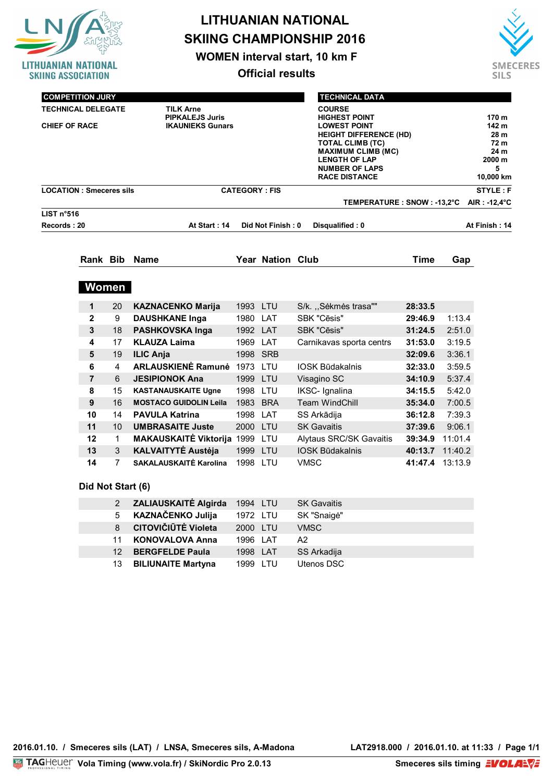

**WOMEN interval start, 10 km F**

**Official results**



| <b>COMPETITION JURY</b>        |                                   | <b>TECHNICAL DATA</b>         |                          |
|--------------------------------|-----------------------------------|-------------------------------|--------------------------|
| <b>TECHNICAL DELEGATE</b>      | <b>TILK Arne</b>                  | <b>COURSE</b>                 |                          |
| <b>T.D. ASSISTANT</b>          | <b>PIPKALEJS Juris</b>            | <b>HIGHEST POINT</b>          | 170 <sub>m</sub>         |
| <b>CHIEF OF RACE</b>           | <b>IKAUNIEKS Gunars</b>           | <b>LOWEST POINT</b>           | 142 m                    |
|                                |                                   | <b>HEIGHT DIFFERENCE (HD)</b> | 28 <sub>m</sub>          |
|                                |                                   | <b>TOTAL CLIMB (TC)</b>       | 72 m                     |
|                                |                                   | <b>MAXIMUM CLIMB (MC)</b>     | 24 m                     |
|                                |                                   | <b>LENGTH OF LAP</b>          | 2000 <sub>m</sub>        |
|                                |                                   | <b>NUMBER OF LAPS</b>         | 5                        |
|                                |                                   | <b>RACE DISTANCE</b>          | 10,000 km                |
| <b>LOCATION: Smeceres sils</b> | <b>CATEGORY: FIS</b>              |                               | STYLE: F                 |
|                                |                                   | TEMPERATURE : SNOW : -13,2°C  | AIR : -12,4 $^{\circ}$ C |
| LIST $n°516$                   |                                   |                               |                          |
| Records: 20                    | At Start: 14<br>Did Not Finish: 0 | Disqualified: 0               | At Finish: 14            |
|                                |                                   |                               |                          |
| Rank Bib Name                  | Year Nation Club                  | Time<br>Gap                   |                          |

| 1              | 20              | <b>KAZNACENKO Marija</b>      | 1993 LTU |            | S/k. "Sėkmės trasa""           | 28:33.5 |         |
|----------------|-----------------|-------------------------------|----------|------------|--------------------------------|---------|---------|
| $\mathbf{2}$   | 9               | <b>DAUSHKANE Inga</b>         | 1980     | LAT        | SBK "Cēsis"                    | 29:46.9 | 1:13.4  |
| 3              | 18              | <b>PASHKOVSKA Inga</b>        | 1992 LAT |            | SBK "Cēsis"                    | 31:24.5 | 2:51.0  |
| 4              | 17              | <b>KLAUZA Laima</b>           | 1969     | LAT        | Carnikavas sporta centrs       | 31:53.0 | 3:19.5  |
| 5              | 19              | <b>ILIC Anja</b>              |          | 1998 SRB   |                                | 32:09.6 | 3:36.1  |
| 6              | 4               | <b>ARLAUSKIENĖ Ramunė</b>     | 1973     | LTU        | <b>IOSK Būdakalnis</b>         | 32:33.0 | 3:59.5  |
| $\overline{7}$ | 6               | <b>JESIPIONOK Ana</b>         | 1999 LTU |            | Visagino SC                    | 34:10.9 | 5:37.4  |
| 8              | 15              | <b>KASTANAUSKAITE Ugne</b>    | 1998     | LTU        | IKSC- Ignalina                 | 34:15.5 | 5:42.0  |
| 9              | 16              | <b>MOSTACO GUIDOLIN Leila</b> | 1983     | <b>BRA</b> | <b>Team WindChill</b>          | 35:34.0 | 7:00.5  |
| 10             | 14              | <b>PAVULA Katrina</b>         | 1998     | LAT        | SS Arkādija                    | 36:12.8 | 7:39.3  |
| 11             | 10 <sup>°</sup> | <b>UMBRASAITE Juste</b>       | 2000 LTU |            | <b>SK Gavaitis</b>             | 37:39.6 | 9:06.1  |
| 12             | 1               | <b>MAKAUSKAITĖ Viktorija</b>  | 1999     | LTU        | <b>Alytaus SRC/SK Gavaitis</b> | 39:34.9 | 11:01.4 |
| 13             | 3               | <b>KALVAITYTĖ Austėja</b>     | 1999     | <b>LTU</b> | <b>IOSK Būdakalnis</b>         | 40:13.7 | 11:40.2 |
| 14             | 7               | SAKALAUSKAITĖ Karolina        | 1998     | TU.        | <b>VMSC</b>                    | 41:47.4 | 13:13.9 |

### **Did Not Start (6)**

| $2^{\circ}$ | <b>ZALIAUSKAITĖ Algirda</b> | 1994 LTU | <b>SK Gavaitis</b> |
|-------------|-----------------------------|----------|--------------------|
| 5           | <b>KAZNAČENKO Julija</b>    | 1972 LTU | SK "Snaigė"        |
| 8           | <b>CITOVIČIŪTĖ Violeta</b>  | 2000 LTU | <b>VMSC</b>        |
| 11          | <b>KONOVALOVA Anna</b>      | 1996 LAT | A2                 |
| 12          | <b>BERGFELDE Paula</b>      | 1998 LAT | SS Arkadija        |
| 13          | <b>BILIUNAITE Martyna</b>   | 1999 LTU | Utenos DSC         |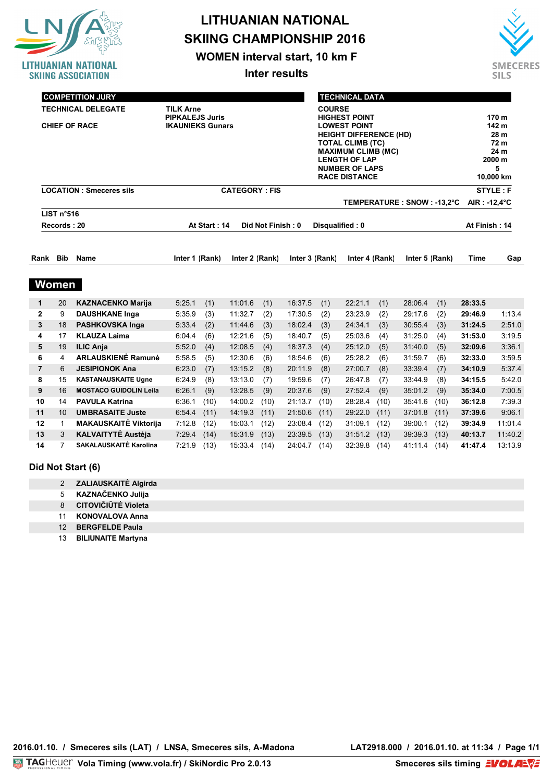

**WOMEN interval start, 10 km F**

**Inter results**



|                     |                | <b>COMPETITION JURY</b>                                                    |                                                   |              |                      |                   |                                                                                                                                                                                                               |            | <b>TECHNICAL DATA</b> |            |                              |                                                                    |                    |                  |
|---------------------|----------------|----------------------------------------------------------------------------|---------------------------------------------------|--------------|----------------------|-------------------|---------------------------------------------------------------------------------------------------------------------------------------------------------------------------------------------------------------|------------|-----------------------|------------|------------------------------|--------------------------------------------------------------------|--------------------|------------------|
|                     |                | <b>TECHNICAL DELEGATE</b><br><b>T.D. ASSISTANT</b><br><b>CHIEF OF RACE</b> | <b>PIPKALEJS Juris</b><br><b>IKAUNIEKS Gunars</b> |              |                      | <b>COURSE</b>     | <b>HIGHEST POINT</b><br><b>LOWEST POINT</b><br><b>HEIGHT DIFFERENCE (HD)</b><br><b>TOTAL CLIMB (TC)</b><br><b>MAXIMUM CLIMB (MC)</b><br><b>LENGTH OF LAP</b><br><b>NUMBER OF LAPS</b><br><b>RACE DISTANCE</b> |            |                       |            |                              | 170 m<br>142 m<br>28 m<br>72 m<br>24 m<br>2000 m<br>5<br>10,000 km |                    |                  |
|                     |                | <b>LOCATION: Smeceres sils</b>                                             |                                                   |              | <b>CATEGORY: FIS</b> |                   |                                                                                                                                                                                                               |            |                       |            |                              |                                                                    |                    | <b>STYLE: F</b>  |
|                     | LIST n°516     |                                                                            |                                                   |              |                      |                   |                                                                                                                                                                                                               |            |                       |            | TEMPERATURE : SNOW : -13,2°C |                                                                    | AIR: -12,4°C       |                  |
|                     | Records: 20    |                                                                            |                                                   | At Start: 14 |                      | Did Not Finish: 0 |                                                                                                                                                                                                               |            | Disqualified: 0       |            |                              |                                                                    | At Finish: 14      |                  |
|                     |                |                                                                            |                                                   |              |                      |                   |                                                                                                                                                                                                               |            |                       |            |                              |                                                                    |                    |                  |
| Rank                | <b>Bib</b>     | <b>Name</b>                                                                | Inter 1 (Rank)                                    |              | Inter 2 (Rank)       |                   | Inter 3 (Rank)                                                                                                                                                                                                |            | Inter 4 (Rank)        |            | Inter 5 (Rank)               |                                                                    | Time               | Gap              |
|                     | Women          |                                                                            |                                                   |              |                      |                   |                                                                                                                                                                                                               |            |                       |            |                              |                                                                    |                    |                  |
| $\mathbf{1}$        | 20             | <b>KAZNACENKO Marija</b>                                                   | 5:25.1                                            | (1)          | 11:01.6              | (1)               | 16:37.5                                                                                                                                                                                                       | (1)        | 22:21.1               | (1)        | 28:06.4                      | (1)                                                                | 28:33.5            |                  |
| $\mathbf{2}$        | 9              | <b>DAUSHKANE Inga</b>                                                      | 5:35.9                                            | (3)          | 11:32.7              | (2)               | 17:30.5                                                                                                                                                                                                       | (2)        | 23:23.9               | (2)        | 29:17.6                      | (2)                                                                | 29:46.9            | 1:13.4           |
| 3                   | 18             | <b>PASHKOVSKA Inga</b>                                                     | 5:33.4                                            | (2)          | 11:44.6              | (3)               | 18:02.4                                                                                                                                                                                                       | (3)        | 24:34.1               | (3)        | 30:55.4                      | (3)                                                                | 31:24.5            | 2:51.0           |
| 4                   | 17             | <b>KLAUZA Laima</b>                                                        | 6:04.4                                            | (6)          | 12:21.6              | (5)               | 18:40.7                                                                                                                                                                                                       | (5)        | 25:03.6               | (4)        | 31:25.0                      | (4)                                                                | 31:53.0            | 3:19.5           |
| 5                   | 19             | <b>ILIC Anja</b>                                                           | 5:52.0                                            | (4)          | 12:08.5              | (4)               | 18:37.3                                                                                                                                                                                                       | (4)        | 25:12.0               | (5)        | 31:40.0                      | (5)                                                                | 32:09.6            | 3:36.1           |
| 6<br>$\overline{7}$ | 4<br>6         | <b>ARLAUSKIENĖ Ramunė</b><br><b>JESIPIONOK Ana</b>                         | 5:58.5<br>6:23.0                                  | (5)          | 12:30.6<br>13:15.2   | (6)               | 18:54.6<br>20:11.9                                                                                                                                                                                            | (6)        | 25:28.2               | (6)        | 31:59.7<br>33:39.4           | (6)                                                                | 32:33.0<br>34:10.9 | 3:59.5<br>5:37.4 |
| 8                   | 15             | <b>KASTANAUSKAITE Ugne</b>                                                 | 6:24.9                                            | (7)<br>(8)   | 13:13.0              | (8)<br>(7)        | 19:59.6                                                                                                                                                                                                       | (8)<br>(7) | 27:00.7<br>26:47.8    | (8)<br>(7) | 33:44.9                      | (7)<br>(8)                                                         | 34:15.5            | 5:42.0           |
| 9                   | 16             | <b>MOSTACO GUIDOLIN Leila</b>                                              | 6:26.1                                            | (9)          | 13:28.5              | (9)               | 20:37.6                                                                                                                                                                                                       | (9)        | 27:52.4               | (9)        | 35:01.2                      | (9)                                                                | 35:34.0            | 7:00.5           |
| 10                  | 14             | <b>PAVULA Katrina</b>                                                      | 6:36.1                                            | (10)         | 14:00.2              | (10)              | 21:13.7                                                                                                                                                                                                       | (10)       | 28:28.4               | (10)       | 35:41.6                      | (10)                                                               | 36:12.8            | 7:39.3           |
| 11                  | 10             | <b>UMBRASAITE Juste</b>                                                    | 6:54.4                                            | (11)         | 14:19.3              | (11)              | 21:50.6                                                                                                                                                                                                       | (11)       | 29:22.0               | (11)       | 37:01.8                      | (11)                                                               | 37:39.6            | 9:06.1           |
| 12                  | $\mathbf{1}$   | <b>MAKAUSKAITĖ Viktorija</b>                                               | 7:12.8                                            | (12)         | 15:03.1              | (12)              | 23:08.4                                                                                                                                                                                                       | (12)       | 31:09.1               | (12)       | 39:00.1                      | (12)                                                               | 39:34.9            | 11:01.4          |
| 13                  | 3              | <b>KALVAITYTĖ Austėja</b>                                                  | 7:29.4                                            | (14)         | 15:31.9              | (13)              | 23:39.5                                                                                                                                                                                                       | (13)       | 31:51.2               | (13)       | 39:39.3                      | (13)                                                               | 40:13.7            | 11:40.2          |
| 14                  | $\overline{7}$ | SAKALAUSKAITĖ Karolina                                                     | 7:21.9                                            | (13)         | 15:33.4              | (14)              | 24:04.7                                                                                                                                                                                                       | (14)       | 32:39.8               | (14)       | 41:11.4                      | (14)                                                               | 41:47.4            | 13:13.9          |

#### **Did Not Start (6)**

 **ZALIAUSKAITĖ Algirda KAZNAČENKO Julija CITOVIČIŪTĖ Violeta KONOVALOVA Anna BERGFELDE Paula**

13 **BILIUNAITE Martyna**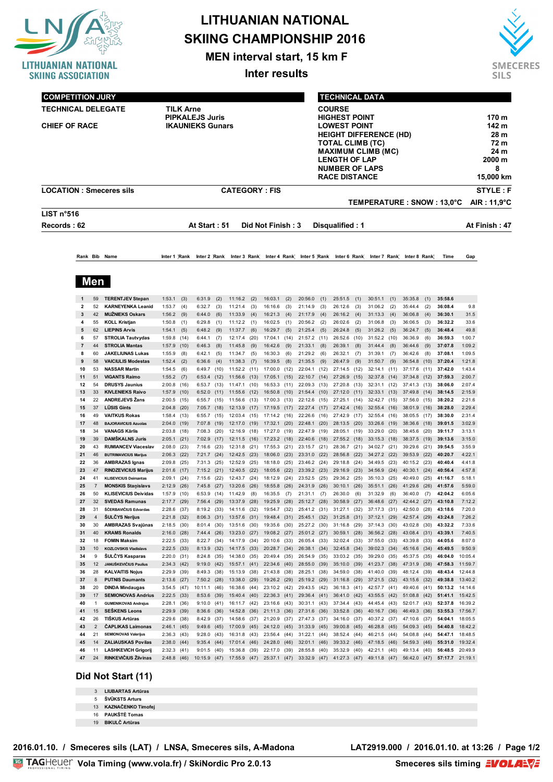

**MEN interval start, 15 km F**

**Inter results**



| <b>COMPETITION JURY</b>                                                                               |                |                      |                                                            |                                                                       |              |                              |              |                         |              |                              |              |                                                                                                                                                                                                           |              | <b>TECHNICAL DATA</b>        |              |                              |              |                                        |              |                             |                                                                    |                          |
|-------------------------------------------------------------------------------------------------------|----------------|----------------------|------------------------------------------------------------|-----------------------------------------------------------------------|--------------|------------------------------|--------------|-------------------------|--------------|------------------------------|--------------|-----------------------------------------------------------------------------------------------------------------------------------------------------------------------------------------------------------|--------------|------------------------------|--------------|------------------------------|--------------|----------------------------------------|--------------|-----------------------------|--------------------------------------------------------------------|--------------------------|
| <b>TECHNICAL DELEGATE</b><br>T.D. ASSISTANT<br><b>CHIEF OF RACE</b><br><b>LOCATION: Smeceres sils</b> |                |                      |                                                            | <b>TILK Arne</b><br><b>PIPKALEJS Juris</b><br><b>IKAUNIEKS Gunars</b> |              |                              |              |                         |              |                              |              | <b>COURSE</b><br><b>HIGHEST POINT</b><br><b>LOWEST POINT</b><br><b>HEIGHT DIFFERENCE (HD)</b><br>TOTAL CLIMB (TC)<br>MAXIMUM CLIMB (MC)<br><b>LENGTH OF LAP</b><br>NUMBER OF LAPS<br><b>RACE DISTANCE</b> |              |                              |              |                              |              |                                        |              |                             | 170 m<br>142 m<br>28 m<br>72 m<br>24 m<br>2000 m<br>8<br>15,000 km |                          |
|                                                                                                       |                |                      |                                                            |                                                                       |              |                              |              | <b>CATEGORY: FIS</b>    |              |                              |              |                                                                                                                                                                                                           |              |                              |              |                              |              |                                        |              | TEMPERATURE : SNOW : 13,0°C |                                                                    | STYLE: F<br>AIR : 11.9°C |
| LIST $n°516$                                                                                          |                |                      |                                                            |                                                                       |              |                              |              |                         |              |                              |              |                                                                                                                                                                                                           |              |                              |              |                              |              |                                        |              |                             |                                                                    |                          |
| Records: 62                                                                                           |                |                      |                                                            |                                                                       |              | At Start: 51                 |              |                         |              | Did Not Finish: 3            |              |                                                                                                                                                                                                           |              | Disqualified: 1              |              |                              |              |                                        |              |                             |                                                                    | At Finish : 47           |
|                                                                                                       |                |                      | Rank Bib Name                                              | Inter 1 Rank                                                          |              | Inter 2 Rank                 |              | Inter 3 Rank            |              |                              |              | Inter 4 Rank Inter 5 Rank                                                                                                                                                                                 |              |                              |              |                              |              | Inter 6 Rank Inter 7 Rank Inter 8 Rank |              | Time                        | Gap                                                                |                          |
|                                                                                                       |                | Men                  |                                                            |                                                                       |              |                              |              |                         |              |                              |              |                                                                                                                                                                                                           |              |                              |              |                              |              |                                        |              |                             |                                                                    |                          |
|                                                                                                       |                | 59                   | <b>TERENTJEV Stepan</b>                                    | 1:53.1                                                                | (3)          | 6:31.9                       | (2)          | 11:16.2                 | (2)          | 16:03.1                      | (2)          | 20:56.0                                                                                                                                                                                                   | (1)          | 25:51.5                      | (1)          | 30:51.1                      | (1)          | 35:35.8                                | (1)          | 35:58.6                     |                                                                    |                          |
|                                                                                                       | $\overline{2}$ | 52                   | <b>KARNEYENKA Leanid</b>                                   | 1:53.7                                                                | (4)          | 6:32.7                       | (3)          | 11:21.4                 | (3)          | 16:16.6                      | (3)          | 21:14.9                                                                                                                                                                                                   | (3)          | 26:12.6                      | (3)          | 31:06.2                      | (2)          | 35:44.4                                | (2)          | 36:08.4                     | 9.8                                                                |                          |
|                                                                                                       | 3              | 42                   | <b>MUŽNIEKS Oskars</b>                                     | $1:56.2$ (9)                                                          |              | 6:44.0                       | (6)          | 11:33.9                 | (4)          | 16:21.3                      | (4)          | 21:17.9                                                                                                                                                                                                   | (4)          | 26:16.2                      | (4)          | 31:13.3                      | (4)          | 36:06.8                                | (4)          | 36:30.1                     | 31.5                                                               |                          |
|                                                                                                       | 4<br>5         | 55<br>62             | <b>KOLL Kristjan</b><br><b>LIEPINS Arvis</b>               | 1:50.8<br>1:54.1                                                      | (1)<br>(5)   | 6:29.8<br>6:48.2             | (1)<br>(9)   | 11:12.2<br>11:37.7      | (1)<br>(6)   | 16:02.5<br>16:29.7           | (1)<br>(5)   | 20:56.2<br>21:25.4                                                                                                                                                                                        | (2)<br>(5)   | 26:02.6<br>26:24.8           | (2)<br>(5)   | 31:06.8<br>31:26.2           | (3)<br>(5)   | 36:06.5<br>36:24.7                     | (3)<br>(5)   | 36:32.2<br>36:48.4          | 33.6<br>49.8                                                       |                          |
|                                                                                                       | 6              | 57                   | <b>STROLIA Tautvydas</b>                                   | 1:59.8                                                                | (14)         | 6:44.1                       | (7)          | 12:17.4                 | (20)         | 17:04.1                      | (14)         | 21:57.2                                                                                                                                                                                                   | (11)         | 26:52.6                      | (10)         | 31:52.2 (10)                 |              | 36:36.9                                | (6)          | 36:59.3                     | 1:00.7                                                             |                          |
|                                                                                                       | $\overline{7}$ | 44                   | <b>STROLIA Mantas</b>                                      | 1:57.9                                                                | (10)         | 6:46.3                       | (8)          | 11:45.8                 | (9)          | 16:42.6                      | (9)          | 21:33.1                                                                                                                                                                                                   | (8)          | 26:39.1                      | (8)          | 31:44.4                      | (8)          | 36:44.6                                | (9)          | 37:07.8                     | 1:09.2                                                             |                          |
|                                                                                                       | 8<br>9         | 60<br>58             | <b>JAKELIUNAS Lukas</b><br><b>VAICIULIS Modestas</b>       | 1:55.9<br>1:52.4                                                      | (8)<br>(2)   | 6:42.1<br>6:36.6             | (5)<br>(4)   | 11:34.7<br>11:38.3      | (5)<br>(7)   | 16:30.3<br>16:39.5           | (6)<br>(8)   | 21:29.2<br>21:35.5                                                                                                                                                                                        | (6)<br>(9)   | 26:32.1<br>26:47.9           | (7)<br>(9)   | 31:39.1<br>31:50.7           | (7)<br>(9)   | 36:42.6<br>36:54.8                     | (8)<br>(10)  | 37:08.1<br>37:20.4          | 1:09.5<br>1:21.8                                                   |                          |
|                                                                                                       | 10             | 53                   | <b>NASSAR Martin</b>                                       | 1:54.5                                                                | (6)          | 6:49.7                       | (10)         | 11:52.2                 | (11)         | 17:00.0                      | (12)         | 22:04.1                                                                                                                                                                                                   | (12)         | 27:14.5                      | (12)         | 32:14.1                      | (11)         | 37:17.6                                | (11)         | 37:42.0                     | 1:43.4                                                             |                          |
|                                                                                                       | 11             | 51                   | <b>VIGANTS Raimo</b>                                       | $1:55.2$ (7)                                                          |              | 6:53.4                       | (12)         | 11:56.6                 | (13)         | 17:05.1                      | (15)         | 22:10.7 (14)                                                                                                                                                                                              |              | 27:26.9                      | (15)         | 32:37.8                      | (14)         | 37:34.8                                | (12)         | 37:59.3                     | 2:00.7                                                             |                          |
|                                                                                                       | 12<br>13       | 54<br>33             | <b>DRUSYS Jaunius</b><br><b>KIVLENIEKS Raivo</b>           | 2:00.8<br>1:57.9                                                      | (16)<br>(10) | 6:53.7<br>6:52.0             | (13)<br>(11) | 11:47.1<br>11:55.6      | (10)<br>(12) | 16:53.3<br>16:50.8           | (11)<br>(10) | 22:09.3<br>21:54.4                                                                                                                                                                                        | (13)<br>(10) | 27:20.8<br>27:12.0           | (13)<br>(11) | 32:31.1<br>32:33.1 (13)      | (12)         | 37:41.3<br>37:49.8 (14)                | (13)         | 38:06.0<br>38:14.5          | 2:07.4<br>2:15.9                                                   |                          |
|                                                                                                       | 14             | 22                   | <b>ANDREJEVS Žans</b>                                      | $2:00.5$ (15)                                                         |              | 6:55.7                       | (15)         | 11:56.6                 | (13)         | 17:00.3                      | (13)         | 22:12.6                                                                                                                                                                                                   | (15)         | 27:25.1                      | (14)         | 32:42.7                      | (15)         | 37:56.0                                | (15)         | 38:20.2                     | 2:21.6                                                             |                          |
|                                                                                                       | 15             | 37                   | <b>LŪSIS Gints</b>                                         | $2:04.8$ (20)                                                         |              | 7:05.7                       | (18)         | 12:13.9                 | (17)         | 17:19.5                      | (17)         | 22:27.4                                                                                                                                                                                                   | (17)         | 27:42.4                      | (16)         | 32:55.4 (16)                 |              | 38:01.9                                | (16)         | 38:28.0                     | 2:29.4                                                             |                          |
|                                                                                                       | 16<br>17       | 49<br>48             | <b>VAITKUS Rokas</b><br><b>BAJORAVICIUS Azuolas</b>        | 1:58.4(13)                                                            |              | 6:55.7<br>7:07.8             | (15)<br>(19) | 12:03.4<br>12:17.0      | (15)<br>(19) | 17:14.2<br>17:32.1           | (16)<br>(20) | 22:26.6 (16)<br>22:48.1                                                                                                                                                                                   | (20)         | 27:42.9<br>28:13.5           | (17)         | 32:55.4<br>33:26.6           | (16)<br>(19) | 38:05.5 (17)<br>38:36.6                | (18)         | 38:30.0<br>39:01.5          | 2:31.4<br>3:02.9                                                   |                          |
|                                                                                                       | 18             | 34                   | <b>VANAGS Kärlis</b>                                       | 2:04.0<br>2:03.8 (18)                                                 | (19)         | 7:08.3                       | (20)         | 12:16.9                 | (18)         | 17:27.0                      | (19)         | 22:47.9                                                                                                                                                                                                   | (19)         | 28:05.1                      | (20)<br>(19) | 33:29.0                      | (20)         | 38:45.6                                | (20)         | 39:11.7                     | 3:13.1                                                             |                          |
|                                                                                                       | 19             | 39                   | <b>DAMŠKALNS Juris</b>                                     | 2:05.1                                                                | (21)         | 7:02.9                       | (17)         | 12:11.5                 | (16)         | 17:23.2                      | (18)         | 22:40.6                                                                                                                                                                                                   | (18)         | 27:55.2                      | (18)         | 33:15.3                      | (18)         | 38:37.5 (19)                           |              | 39:13.6                     | 3:15.0                                                             |                          |
|                                                                                                       | 20<br>21       | 43<br>46             | <b>RUMIANCEV Viaceslav</b><br><b>BUTRIMAVICIUS Marijus</b> | 2:08.0                                                                | (23)         | 7:16.6<br>7:21.7             | (23)<br>(24) | 12:31.8<br>12:42.5      | (21)<br>(23) | 17:55.3<br>18:06.0           | (21)         | 23:15.7<br>23:31.0                                                                                                                                                                                        | (21)<br>(22) | 28:36.7<br>28:56.8           | (21)<br>(22) | 34:02.7<br>34:27.2           | (21)<br>(22) | 39:29.6<br>39:53.9                     | (21)<br>(22) | 39:54.5<br>40:20.7          | 3:55.9<br>4:22.1                                                   |                          |
|                                                                                                       | 22             | 36                   | <b>AMBRAZAS Ignas</b>                                      | $2:06.3$ (22)<br>2:09.8                                               | (25)         | 7:31.3                       | (25)         | 12:52.9                 | (25)         | 18:18.0                      | (23)<br>(25) | 23:46.2                                                                                                                                                                                                   | (24)         | 29:18.8                      | (24)         | 34:49.5                      | (23)         | 40:15.2                                | (23)         | 40:40.4                     | 4:41.8                                                             |                          |
|                                                                                                       | 23             | 47                   | <b>RINDZEVICIUS Marijus</b>                                | 2:01.6 (17)                                                           |              | 7:15.2                       | (21)         | 12:40.5                 | (22)         | 18:05.6                      | (22)         | 23:39.2                                                                                                                                                                                                   | (23)         | 29:16.9                      | (23)         | 34:56.9                      | (24)         | 40:30.1                                | (24)         | 40:56.4                     | 4:57.8                                                             |                          |
|                                                                                                       | 24             | 41<br>7              | <b>KLISEVICIUS Deimantas</b>                               | 2:09.1                                                                | (24)         | 7:15.6                       | (22)         | 12:43.7                 | (24)         | 18:12.9                      | (24)         | 23:52.5                                                                                                                                                                                                   | (25)         | 29:36.2                      | (25)         | 35:10.3                      | (25)         | 40:49.0                                | (25)         | 41:16.7                     | 5:18.1<br>5:59.0                                                   |                          |
|                                                                                                       | 25<br>26       | 50                   | <b>MONSKIS Stanislavs</b><br><b>KLISEVICIUS Deividas</b>   | 2:12.9<br>1:57.9                                                      | (26)<br>(10) | 7:45.8<br>6:53.9             | (27)<br>(14) | 13:20.6<br>11:42.9      | (26)<br>(8)  | 18:55.8<br>16:35.5           | (26)<br>(7)  | 24:31.9<br>21:31.1                                                                                                                                                                                        | (26)<br>(7)  | 30:10.1<br>26:30.0           | (26)<br>(6)  | 35:51.1<br>31:32.9           | (26)<br>(6)  | 41:29.6<br>36:40.0                     | (26)<br>(7)  | 41:57.6<br>42:04.2          | 6:05.6                                                             |                          |
|                                                                                                       | 27             | 32                   | <b>SVEDAS Ramunas</b>                                      | 2:17.7                                                                | (29)         | 7:56.4                       | (29)         | 13:37.9                 | (28)         | 19:25.9                      | (28)         | 25:12.7                                                                                                                                                                                                   | (28)         | 30:58.9                      | (27)         | 36:48.6                      | (27)         | 42:44.2                                | (27)         | 43:10.8                     | 7:12.2                                                             |                          |
|                                                                                                       | 28             | 31                   | ŠČERBAVIČIUS Edvardas                                      | 2:28.6                                                                | (37)         | 8:19.2                       | (33)         | 14:11.6                 | (32)         | 19:54.7                      | (32)         | 25:41.2                                                                                                                                                                                                   | (31)         | 31:27.1                      | (32)         | 37:17.3                      | (31)         | 42:50.0                                | (28)         | 43:18.6                     | 7:20.0                                                             |                          |
|                                                                                                       | 29<br>30       | $\overline{4}$<br>30 | <b>SULCYS Nerijus</b><br><b>AMBRAZAS Svajūnas</b>          | 2:21.8 (32)<br>$2:18.5$ (30)                                          |              | $8:06.3$ (31)<br>8:01.4(30)  |              | 13:57.6 (31)<br>13:51.6 | (30)         | 19:48.4 (31)<br>19:35.6 (30) |              | 25:45.1 (32)<br>25:27.2 (30)                                                                                                                                                                              |              | 31:25.8 (31)<br>31:16.8      | (29)         | 37:12.1 (29)<br>37:14.3 (30) |              | 42:57.4 (29)<br>43:02.8                | (30)         | 43:24.8<br>43:32.2          | 7:26.2<br>7:33.6                                                   |                          |
|                                                                                                       | 31             | 40                   | <b>KRAMS Ronalds</b>                                       | $2:16.0$ (28)                                                         |              | 7:44.4(26)                   |              | 13:23.0 (27)            |              | 19:08.2 (27)                 |              | 25:01.2 (27)                                                                                                                                                                                              |              | 30:59.1                      | (28)         | 36:56.2 (28)                 |              | 43:08.4 (31)                           |              | 43:39.1                     | 7:40.5                                                             |                          |
|                                                                                                       | 32<br>33       | 18<br>10             | <b>FOMIN Maksim</b><br><b>KOZLOVSKIS Vladislavs</b>        | $2:22.5$ (33)                                                         |              | 8:22.7                       | (34)         | 14:17.9                 | (34)         | 20:10.6<br>20:28.7 (34)      | (33)         | 26:05.4 (33)                                                                                                                                                                                              |              | 32:02.4 (33)<br>32:45.8 (34) |              | 37:55.0                      | (33)         | 43:39.8                                | (33)         | 44:05.6<br>45:49.5          | 8:07.0<br>9:50.9                                                   |                          |
|                                                                                                       | 34             | 9                    | <b>SULCYS Kasparas</b>                                     | $2:22.5$ (33)<br>$2:20.0$ (31)                                        |              | 8:13.9<br>8:24.8             | (32)<br>(35) | 14:17.5 (33)<br>14:38.0 | (35)         | 20:49.4 (35)                 |              | 26:38.1 (34)<br>26:54.9 (35)                                                                                                                                                                              |              | 33:03.2 (35)                 |              | 39:02.3 (34)<br>39:29.0 (35) |              | 45:16.6 (34)<br>45:37.5                | (35)         | 46:04.0                     | 10:05.4                                                            |                          |
|                                                                                                       | 35             | 12                   | JANUŠKEVIČIUS Paulius                                      | 2:34.3(42)                                                            |              | 9:19.0                       | (42)         | 15:57.1                 | (41)         | 22:34.6 (40)                 |              | 28:55.0 (39)                                                                                                                                                                                              |              | 35:10.0 (39)                 |              | 41:23.7 (38)                 |              | 47:31.9 (38)                           |              | 47:58.3                     | 11:59.7                                                            |                          |
|                                                                                                       | 36<br>37       | 28<br>$\bf 8$        | <b>KALVAITIS Nojus</b><br><b>PUTNIS Daumants</b>           | 2:29.9 (39)<br>2:13.6 (27)                                            |              | 8:49.3 (38)<br>$7:50.2$ (28) |              | 15:13.9<br>13:38.0      | (38)<br>(29) | 21:43.8 (38)<br>19:26.2 (29) |              | 28:25.1 (38)<br>25:19.2 (29)                                                                                                                                                                              |              | 34:59.0 (38)<br>31:16.8 (29) |              | 41:40.0 (39)<br>37:21.5 (32) |              | 48:12.4<br>43:15.6                     | (39)<br>(32) | 48:43.4<br>49:38.8          | 12:44.8<br>13:40.2                                                 |                          |
|                                                                                                       | 38             | 20                   | <b>DINDA Mindaugas</b>                                     | $3:54.5$ (47)                                                         |              | 10:11.1 (46)                 |              | 16:38.6 (44)            |              | 23:10.2 (42)                 |              | 29:43.5 (42)                                                                                                                                                                                              |              | 36:18.3 (41)                 |              | 42:57.7 (41)                 |              | 49:40.6                                | (41)         | 50:13.2                     | 14:14.6                                                            |                          |
|                                                                                                       | 39             | 17                   | <b>SEMIONOVAS Andrius</b>                                  | $2:22.5$ (33)                                                         |              | $8:53.6$ (39)                |              | 15:40.4 (40)            |              | 22:36.3 (41)                 |              | 29:36.4 (41)                                                                                                                                                                                              |              | 36:41.0 (42)                 |              | 43:55.5 (42)                 |              | 51:08.8 (42)                           |              | 51:41.1                     | 15:42.5                                                            |                          |
|                                                                                                       | 40             | -1                   | <b>GUMENIKOVAS Andrejus</b>                                | 2:28.1 (36)                                                           |              | 9:10.0                       | (41)         | 16:11.7 (42)            |              | 23:16.6                      | (43)         | 30:31.1 (43)                                                                                                                                                                                              |              | 37:34.4 (43)                 |              | 44:45.4 (43)                 |              | 52:01.7 (43)                           |              | 52:37.8                     | 16:39.2                                                            |                          |
|                                                                                                       | 41<br>42       | 15<br>26             | <b>SEŠKENS Leons</b><br>TIŠKUS Artūras                     | 2:29.9 (39)<br>$2:29.6$ (38)                                          |              | 8:36.6<br>8:42.9             | (36)<br>(37) | 14:52.8<br>14:58.6      | (36)<br>(37) | 21:11.3<br>21:20.9           | (36)<br>(37) | 27:31.6 (36)<br>27:47.3                                                                                                                                                                                   | (37)         | 33:52.8<br>34:16.0           | (36)<br>(37) | 40:16.7 (36)<br>40:37.2 (37) |              | 46:49.3 (36)<br>47:10.6                | (37)         | 53:55.3<br>54:04.1          | 17:56.7<br>18:05.5                                                 |                          |
|                                                                                                       | 43             | $\overline{2}$       | ČAPLIKAS Laimonas                                          | $2:46.1$ (45)                                                         |              | 9:49.6                       | (45)         | 17:00.9 (45)            |              | 24:12.0                      | (45)         | 31:33.9 (45)                                                                                                                                                                                              |              | 39:00.8 (45)                 |              | 46:28.8 (45)                 |              | 54:09.3 (45)                           |              | 54:40.8                     | 18:42.2                                                            |                          |
|                                                                                                       | 44             | 21                   | <b>SEMIONOVAS Valerijus</b>                                | 2:36.3(43)                                                            |              | 9:28.0                       | (43)         | 16:31.8                 | (43)         | 23:56.4 (44)                 |              | 31:22.1                                                                                                                                                                                                   | (44)         | 38:52.4 (44)                 |              | 46:21.5                      | (44)         | 54:08.8                                | (44)         | 54:47.1                     | 18:48.5                                                            |                          |
|                                                                                                       | 45<br>46       | 14<br>11             | <b>ZALIAUSKAS Povilas</b><br><b>LASHKEVICH Grigorij</b>    | 2:38.0(44)<br>$2:32.3$ (41)                                           |              | 9:35.4<br>$9:01.5$ (40)      | (44)         | 17:01.4<br>15:36.8      | (46)<br>(39) | 24:28.0<br>22:17.0           | (46)<br>(39) | 32:01.1 (46)<br>28:55.8 (40)                                                                                                                                                                              |              | 39:33.2 (46)<br>35:32.9      | (40)         | 47:18.5 (46)<br>42:21.1 (40) |              | 54:59.3 (46)<br>49:13.4 (40)           |              | 55:31.0<br>56:48.5          | 19:32.4<br>20:49.9                                                 |                          |
|                                                                                                       |                |                      | RINKEVIČIUS Žilvinas                                       |                                                                       | 2:48.8 (46)  |                              | 10:15.9 (47) |                         | 17:55.9 (47) | 25:37.1 (47)                 |              | 33:32.9 (47)                                                                                                                                                                                              |              |                              |              | 41:27.3 (47) 49:11.8 (47)    |              | 56:42.0 (47)                           |              | 57:17.7 21:19.1             |                                                                    |                          |

### **Did Not Start (11)**

- **LIUBARTAS Artūras ŠVŪKSTS Arturs**
- **KAZNAČENKO Timofej**
- **PAUKŠTĖ Tomas**
- **BIKULČ Artūras**

**2016.01.10. / Smeceres sils (LAT) / LNSA, Smeceres sils, A-Madona LAT2919.000 / 2016.01.10. at 13:26 / Page 1/2**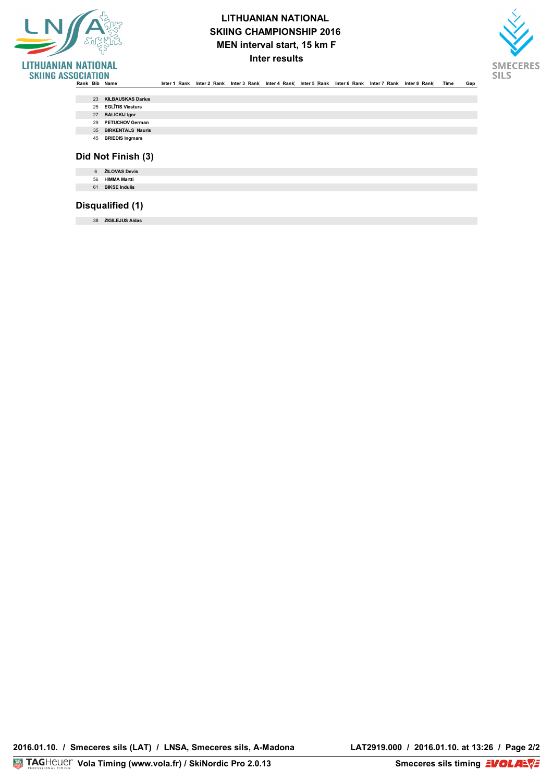

### **LITHUANIAN NATIONAL SKIING CHAMPIONSHIP 2016 MEN interval start, 15 km F Inter results**



**HIGHEST POINT 170 m LOWEST POINT 142 m HEIGHT DIFFERENCE (HD) 28 m** 

**NUMBER OF LAPS 8 RACE DISTANCE 15,000 km**

.<br>Rank Bib Name Inter1 Rank Inter2 Rank Inter3 Rank Inter4 Rank Inter5 Rank Inter6 Rank Inter8 Rank Time Gap

| 23 KILBAUSKAS Darius |  |
|----------------------|--|
|                      |  |

- **TECHNICAL DELEGATE TECHNICAL DELEGATE TECHNICAL DELEGATE TECHNICAL DELEGATE** 25 **EGLĪTIS Viesturs**
	- 27 **BALICKIJ Igor**
- **T.D. REFEREE PIPKALEJS Juris**  29 **PETUCHOV German**
- **CHIEF OF RACE IKAUNIEKS Gunars** 35 **BIRKENTĀLS Nauris** 
	- 45 **BRIEDIS Ingmars**

### **Did Not Finish (3)**

| <b>HIMMA Martti</b><br>56<br><b>BIKSE Indulis</b><br>61 | ŽILOVAS Devis |
|---------------------------------------------------------|---------------|
|                                                         |               |
|                                                         |               |

### **Disqualified (1)**

**LIST n°516** 38 **ZIGILEJUS AidasRecords : 62 At Start : 51 Did Not Finish : 3 Disqualified : 1 At Finish : 47**

**2016.01.10. / Smeceres sils (LAT) / LNSA, Smeceres sils, A-Madona LAT2919.000 / 2016.01.10. at 13:26 / Page 2/2**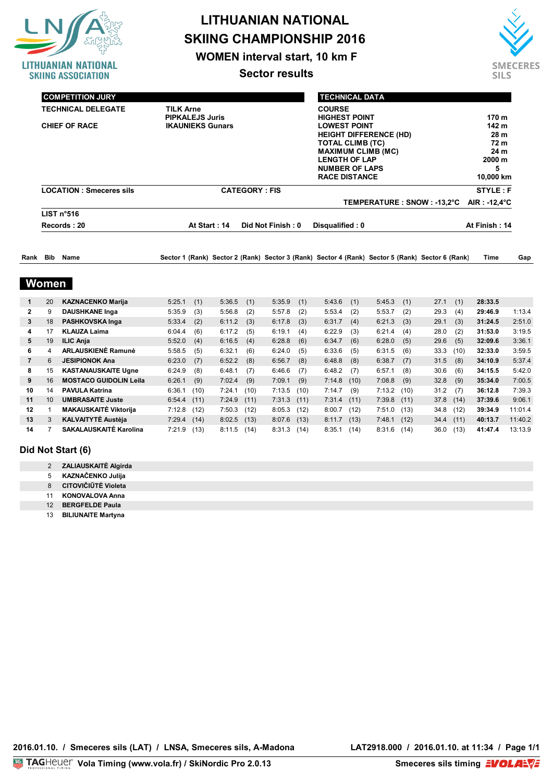

**WOMEN interval start, 10 km F**

**Sector results**



| <b>COMPETITION JURY</b>        |                         |                      | <b>TECHNICAL DATA</b>         |                 |  |
|--------------------------------|-------------------------|----------------------|-------------------------------|-----------------|--|
| <b>TECHNICAL DELEGATE</b>      | <b>TILK Arne</b>        |                      | <b>COURSE</b>                 |                 |  |
| <b>T.D. ASSISTANT</b>          | <b>PIPKALEJS Juris</b>  |                      | <b>HIGHEST POINT</b>          | 170 m           |  |
| <b>CHIEF OF RACE</b>           | <b>IKAUNIEKS Gunars</b> |                      | <b>LOWEST POINT</b>           | 142 m           |  |
|                                |                         |                      | <b>HEIGHT DIFFERENCE (HD)</b> | 28 <sub>m</sub> |  |
|                                |                         |                      | <b>TOTAL CLIMB (TC)</b>       | 72 <sub>m</sub> |  |
|                                |                         |                      | <b>MAXIMUM CLIMB (MC)</b>     | 24 <sub>m</sub> |  |
|                                |                         |                      | <b>LENGTH OF LAP</b>          | 2000 m          |  |
|                                |                         |                      | <b>NUMBER OF LAPS</b>         | 5               |  |
|                                |                         |                      | <b>RACE DISTANCE</b>          | 10,000 km       |  |
| <b>LOCATION: Smeceres sils</b> |                         | <b>CATEGORY: FIS</b> |                               | STYLE: F        |  |
|                                |                         |                      | TEMPERATURE : SNOW : -13,2°C  | AIR : -12,4°C   |  |
| LIST n°516                     |                         |                      |                               |                 |  |
| Records: 20                    | At Start: 14            | Disqualified: 0      | At Finish: 14                 |                 |  |

| Rank | Bib | Name | <b>Sector</b> | ⊕Rank' | Sector 2 | (Rank) | <b>Sector 3</b> | <sup>2</sup> (Rank) Sector 4 | …ت (Rank) 5-<br>(Rank) Sector 5 | Sector 6 | (Rank) | Time | Gap |  |
|------|-----|------|---------------|--------|----------|--------|-----------------|------------------------------|---------------------------------|----------|--------|------|-----|--|
|      |     |      |               |        |          |        |                 |                              |                                 |          |        |      |     |  |

### **Women**

|              | 20 | <b>KAZNACENKO Marija</b>      | 5:25.1 | (1)  | 5:36.5 | (1)  | 5:35.9 | (1)  | 5:43.6 | (1)  | 5:45.3 | (1)  | 27.1 | (1)  | 28:33.5 |         |
|--------------|----|-------------------------------|--------|------|--------|------|--------|------|--------|------|--------|------|------|------|---------|---------|
| $\mathbf{2}$ | 9  | <b>DAUSHKANE Inga</b>         | 5:35.9 | (3)  | 5:56.8 | (2)  | 5:57.8 | (2)  | 5:53.4 | (2)  | 5:53.7 | (2)  | 29.3 | (4)  | 29:46.9 | 1:13.4  |
| 3            | 18 | PASHKOVSKA Inga               | 5:33.4 | (2)  | 6:11.2 | (3)  | 6:17.8 | (3)  | 6:31.7 | (4)  | 6:21.3 | (3)  | 29.1 | (3)  | 31:24.5 | 2:51.0  |
| 4            | 17 | <b>KLAUZA Laima</b>           | 6:04.4 | (6)  | 6:17.2 | (5)  | 6:19.1 | (4)  | 6:22.9 | (3)  | 6:21.4 | (4)  | 28.0 | (2)  | 31:53.0 | 3:19.5  |
| 5            | 19 | <b>ILIC Anja</b>              | 5:52.0 | (4)  | 6:16.5 | (4)  | 6:28.8 | (6)  | 6:34.7 | (6)  | 6:28.0 | (5)  | 29.6 | (5)  | 32:09.6 | 3:36.1  |
| 6.           | 4  | <b>ARLAUSKIENĖ Ramunė</b>     | 5:58.5 | (5)  | 6:32.1 | (6)  | 6:24.0 | (5)  | 6:33.6 | (5)  | 6:31.5 | (6)  | 33.3 | (10) | 32:33.0 | 3:59.5  |
|              | 6  | <b>JESIPIONOK Ana</b>         | 6:23.0 | (7)  | 6:52.2 | (8)  | 6:56.7 | (8)  | 6:48.8 | (8)  | 6:38.7 | (7)  | 31.5 | (8)  | 34:10.9 | 5:37.4  |
| 8            | 15 | <b>KASTANAUSKAITE Ugne</b>    | 6:24.9 | (8)  | 6:48.1 | (7)  | 6:46.6 | (7)  | 6:48.2 | (7)  | 6:57.1 | (8)  | 30.6 | (6)  | 34:15.5 | 5:42.0  |
| 9            | 16 | <b>MOSTACO GUIDOLIN Leila</b> | 6:26.1 | (9)  | 7:02.4 | (9)  | 7:09.1 | (9)  | 7:14.8 | (10) | 7:08.8 | (9)  | 32.8 | (9)  | 35:34.0 | 7:00.5  |
| 10           | 14 | <b>PAVULA Katrina</b>         | 6:36.1 | (10) | 7:24.1 | (10) | 7:13.5 | (10) | 7:14.7 | (9)  | 7:13.2 | (10) | 31.2 | (7)  | 36:12.8 | 7:39.3  |
| 11           | 10 | <b>UMBRASAITE Juste</b>       | 6:54.4 | (11) | 7:24.9 | (11) | 7:31.3 | (11) | 7:31.4 | (11) | 7:39.8 | (11) | 37.8 | (14) | 37:39.6 | 9:06.1  |
| 12           |    | <b>MAKAUSKAITĖ Viktorija</b>  | 7:12.8 | (12) | 7:50.3 | (12) | 8:05.3 | (12) | 8:00.7 | (12) | 7:51.0 | (13) | 34.8 | (12) | 39:34.9 | 11:01.4 |
| 13           | 3  | <b>KALVAITYTĖ Austėja</b>     | 7:29.4 | (14) | 8:02.5 | (13) | 8:07.6 | (13) | 8:11.7 | (13) | 7:48.1 | (12) | 34.4 | (11) | 40:13.7 | 11:40.2 |
| 14           |    | SAKALAUSKAITĖ Karolina        | 7:21.9 | (13) | 8:11.5 | (14) | 8:31.3 | (14) | 8:35.1 | (14) | 8:31.6 | (14) | 36.0 | (13) | 41:47.4 | 13:13.9 |

#### **Did Not Start (6)**

|  | ZALIAUSKAITĖ Algirda |  |
|--|----------------------|--|
|--|----------------------|--|

- 5 **KAZNAČENKO Julija**
- 8 **CITOVIČIŪTĖ Violeta**
- 11 **KONOVALOVA Anna** 12 **BERGFELDE Paula**
- 13 **BILIUNAITE Martyna**
-